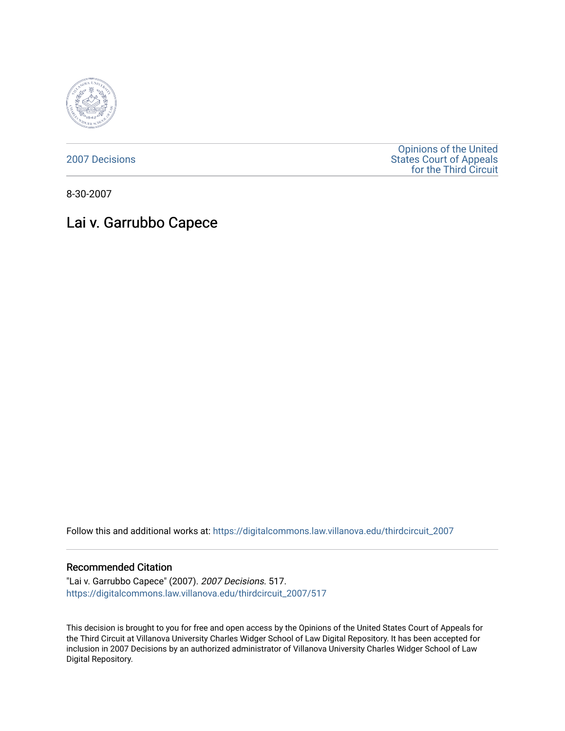

[2007 Decisions](https://digitalcommons.law.villanova.edu/thirdcircuit_2007)

[Opinions of the United](https://digitalcommons.law.villanova.edu/thirdcircuit)  [States Court of Appeals](https://digitalcommons.law.villanova.edu/thirdcircuit)  [for the Third Circuit](https://digitalcommons.law.villanova.edu/thirdcircuit) 

8-30-2007

# Lai v. Garrubbo Capece

Follow this and additional works at: [https://digitalcommons.law.villanova.edu/thirdcircuit\\_2007](https://digitalcommons.law.villanova.edu/thirdcircuit_2007?utm_source=digitalcommons.law.villanova.edu%2Fthirdcircuit_2007%2F517&utm_medium=PDF&utm_campaign=PDFCoverPages) 

#### Recommended Citation

"Lai v. Garrubbo Capece" (2007). 2007 Decisions. 517. [https://digitalcommons.law.villanova.edu/thirdcircuit\\_2007/517](https://digitalcommons.law.villanova.edu/thirdcircuit_2007/517?utm_source=digitalcommons.law.villanova.edu%2Fthirdcircuit_2007%2F517&utm_medium=PDF&utm_campaign=PDFCoverPages)

This decision is brought to you for free and open access by the Opinions of the United States Court of Appeals for the Third Circuit at Villanova University Charles Widger School of Law Digital Repository. It has been accepted for inclusion in 2007 Decisions by an authorized administrator of Villanova University Charles Widger School of Law Digital Repository.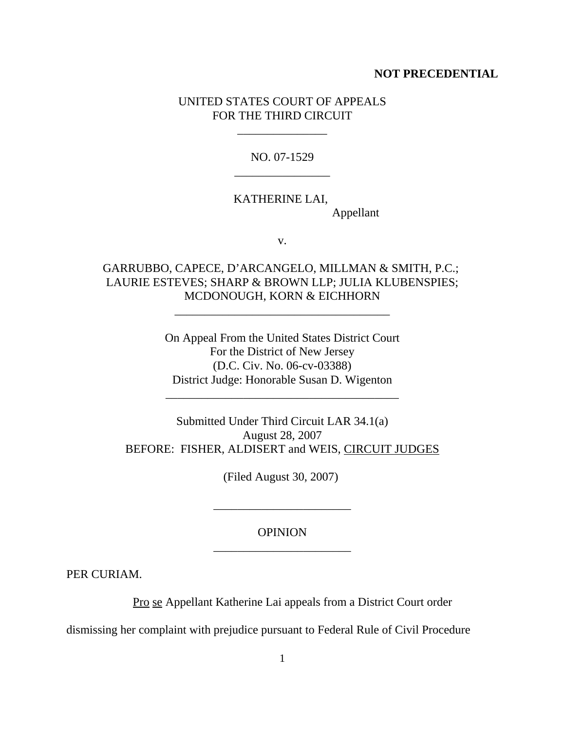#### **NOT PRECEDENTIAL**

## UNITED STATES COURT OF APPEALS FOR THE THIRD CIRCUIT

\_\_\_\_\_\_\_\_\_\_\_\_\_\_\_

NO. 07-1529 \_\_\_\_\_\_\_\_\_\_\_\_\_\_\_\_

## KATHERINE LAI,

Appellant

v.

# GARRUBBO, CAPECE, D'ARCANGELO, MILLMAN & SMITH, P.C.; LAURIE ESTEVES; SHARP & BROWN LLP; JULIA KLUBENSPIES; MCDONOUGH, KORN & EICHHORN

\_\_\_\_\_\_\_\_\_\_\_\_\_\_\_\_\_\_\_\_\_\_\_\_\_\_\_\_\_\_\_\_\_\_\_\_

On Appeal From the United States District Court For the District of New Jersey (D.C. Civ. No. 06-cv-03388) District Judge: Honorable Susan D. Wigenton

\_\_\_\_\_\_\_\_\_\_\_\_\_\_\_\_\_\_\_\_\_\_\_\_\_\_\_\_\_\_\_\_\_\_\_\_\_\_\_

Submitted Under Third Circuit LAR 34.1(a) August 28, 2007 BEFORE: FISHER, ALDISERT and WEIS, CIRCUIT JUDGES

(Filed August 30, 2007)

## **OPINION** \_\_\_\_\_\_\_\_\_\_\_\_\_\_\_\_\_\_\_\_\_\_\_

\_\_\_\_\_\_\_\_\_\_\_\_\_\_\_\_\_\_\_\_\_\_\_

PER CURIAM.

Pro se Appellant Katherine Lai appeals from a District Court order

dismissing her complaint with prejudice pursuant to Federal Rule of Civil Procedure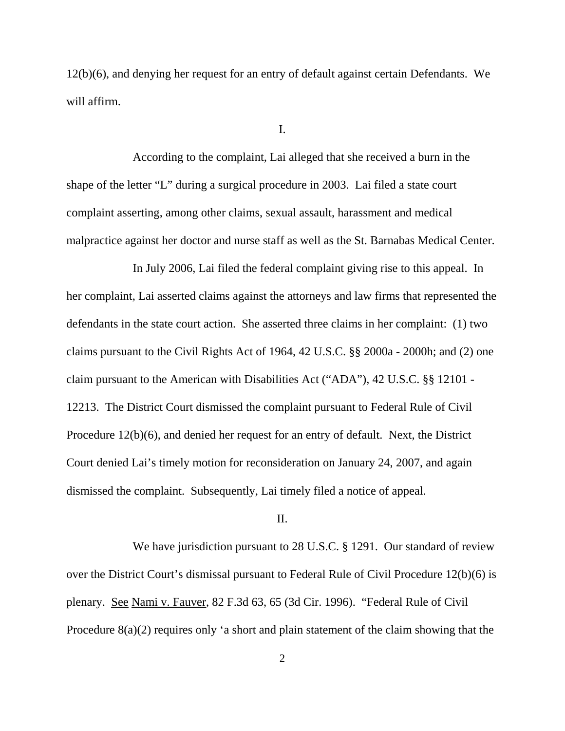12(b)(6), and denying her request for an entry of default against certain Defendants. We will affirm.

I.

According to the complaint, Lai alleged that she received a burn in the shape of the letter "L" during a surgical procedure in 2003. Lai filed a state court complaint asserting, among other claims, sexual assault, harassment and medical malpractice against her doctor and nurse staff as well as the St. Barnabas Medical Center.

In July 2006, Lai filed the federal complaint giving rise to this appeal. In her complaint, Lai asserted claims against the attorneys and law firms that represented the defendants in the state court action. She asserted three claims in her complaint: (1) two claims pursuant to the Civil Rights Act of 1964, 42 U.S.C. §§ 2000a - 2000h; and (2) one claim pursuant to the American with Disabilities Act ("ADA"), 42 U.S.C. §§ 12101 - 12213. The District Court dismissed the complaint pursuant to Federal Rule of Civil Procedure 12(b)(6), and denied her request for an entry of default. Next, the District Court denied Lai's timely motion for reconsideration on January 24, 2007, and again dismissed the complaint. Subsequently, Lai timely filed a notice of appeal.

## II.

We have jurisdiction pursuant to 28 U.S.C. § 1291. Our standard of review over the District Court's dismissal pursuant to Federal Rule of Civil Procedure 12(b)(6) is plenary. See Nami v. Fauver, 82 F.3d 63, 65 (3d Cir. 1996). "Federal Rule of Civil Procedure 8(a)(2) requires only 'a short and plain statement of the claim showing that the